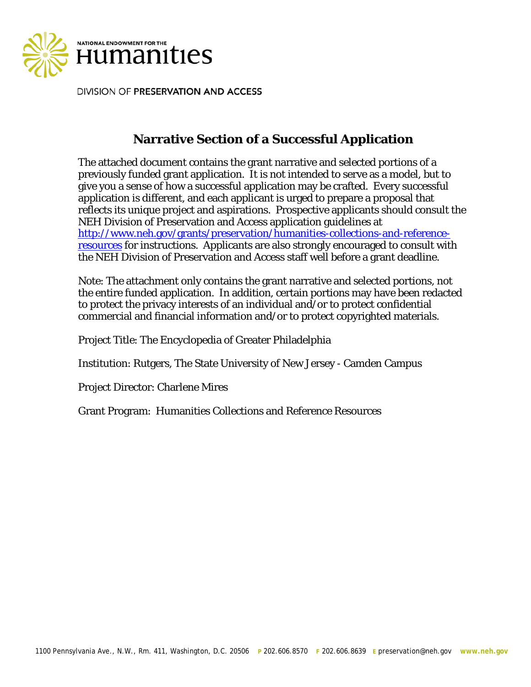

DIVISION OF PRESERVATION AND ACCESS

# **Narrative Section of a Successful Application**

The attached document contains the grant narrative and selected portions of a previously funded grant application. It is not intended to serve as a model, but to give you a sense of how a successful application may be crafted. Every successful application is different, and each applicant is urged to prepare a proposal that reflects its unique project and aspirations. Prospective applicants should consult the NEH Division of Preservation and Access application guidelines at [http://www.neh.gov/grants/preservation/humanities-collections-and-reference](http://www.neh.gov/grants/preservation/humanities-collections-and-reference-resources)[resources](http://www.neh.gov/grants/preservation/humanities-collections-and-reference-resources) for instructions. Applicants are also strongly encouraged to consult with the NEH Division of Preservation and Access staff well before a grant deadline.

Note: The attachment only contains the grant narrative and selected portions, not the entire funded application. In addition, certain portions may have been redacted to protect the privacy interests of an individual and/or to protect confidential commercial and financial information and/or to protect copyrighted materials.

Project Title: The Encyclopedia of Greater Philadelphia

Institution: Rutgers, The State University of New Jersey - Camden Campus

Project Director: Charlene Mires

Grant Program: Humanities Collections and Reference Resources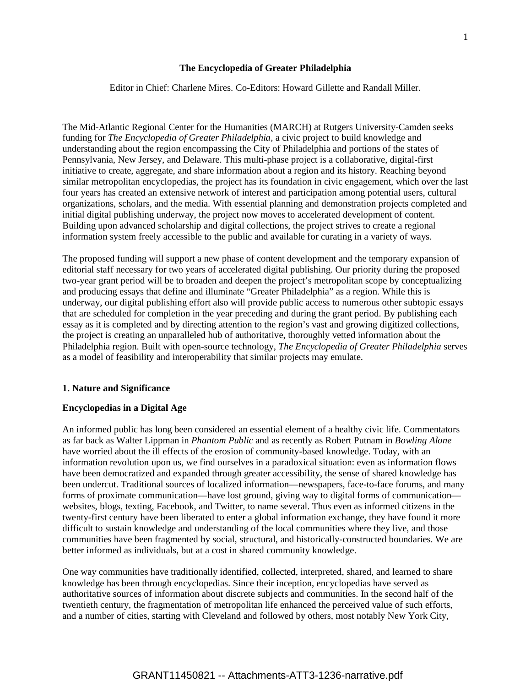#### **The Encyclopedia of Greater Philadelphia**

Editor in Chief: Charlene Mires. Co-Editors: Howard Gillette and Randall Miller.

The Mid-Atlantic Regional Center for the Humanities (MARCH) at Rutgers University-Camden seeks funding for *The Encyclopedia of Greater Philadelphia,* a civic project to build knowledge and understanding about the region encompassing the City of Philadelphia and portions of the states of Pennsylvania, New Jersey, and Delaware. This multi-phase project is a collaborative, digital-first initiative to create, aggregate, and share information about a region and its history. Reaching beyond similar metropolitan encyclopedias, the project has its foundation in civic engagement, which over the last four years has created an extensive network of interest and participation among potential users, cultural organizations, scholars, and the media. With essential planning and demonstration projects completed and initial digital publishing underway, the project now moves to accelerated development of content. Building upon advanced scholarship and digital collections, the project strives to create a regional information system freely accessible to the public and available for curating in a variety of ways.

The proposed funding will support a new phase of content development and the temporary expansion of editorial staff necessary for two years of accelerated digital publishing. Our priority during the proposed two-year grant period will be to broaden and deepen the project's metropolitan scope by conceptualizing and producing essays that define and illuminate "Greater Philadelphia" as a region. While this is underway, our digital publishing effort also will provide public access to numerous other subtopic essays that are scheduled for completion in the year preceding and during the grant period. By publishing each essay as it is completed and by directing attention to the region's vast and growing digitized collections, the project is creating an unparalleled hub of authoritative, thoroughly vetted information about the Philadelphia region. Built with open-source technology, *The Encyclopedia of Greater Philadelphia* serves as a model of feasibility and interoperability that similar projects may emulate.

#### **1. Nature and Significance**

#### **Encyclopedias in a Digital Age**

An informed public has long been considered an essential element of a healthy civic life. Commentators as far back as Walter Lippman in *Phantom Public* and as recently as Robert Putnam in *Bowling Alone* have worried about the ill effects of the erosion of community-based knowledge. Today, with an information revolution upon us, we find ourselves in a paradoxical situation: even as information flows have been democratized and expanded through greater accessibility, the sense of shared knowledge has been undercut. Traditional sources of localized information—newspapers, face-to-face forums, and many forms of proximate communication—have lost ground, giving way to digital forms of communication websites, blogs, texting, Facebook, and Twitter, to name several. Thus even as informed citizens in the twenty-first century have been liberated to enter a global information exchange, they have found it more difficult to sustain knowledge and understanding of the local communities where they live, and those communities have been fragmented by social, structural, and historically-constructed boundaries. We are better informed as individuals, but at a cost in shared community knowledge.

One way communities have traditionally identified, collected, interpreted, shared, and learned to share knowledge has been through encyclopedias. Since their inception, encyclopedias have served as authoritative sources of information about discrete subjects and communities. In the second half of the twentieth century, the fragmentation of metropolitan life enhanced the perceived value of such efforts, and a number of cities, starting with Cleveland and followed by others, most notably New York City,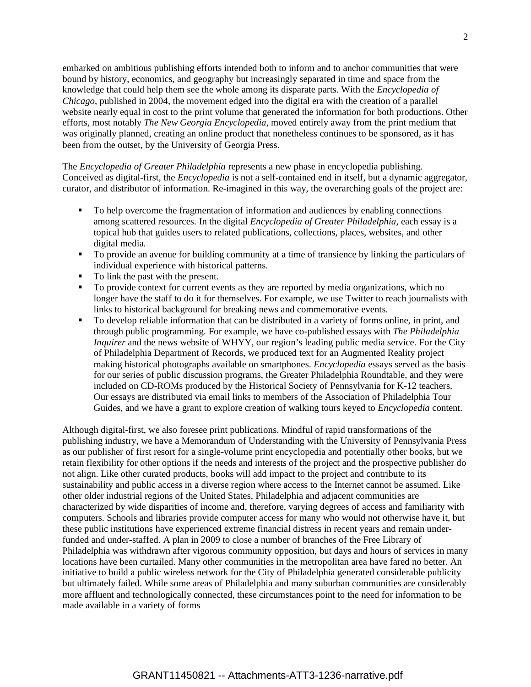embarked on ambitious publishing efforts intended both to inform and to anchor communities that were bound by history, economics, and geography but increasingly separated in time and space from the knowledge that could help them see the whole among its disparate parts. With the *Encyclopedia of Chicago*, published in 2004, the movement edged into the digital era with the creation of a parallel website nearly equal in cost to the print volume that generated the information for both productions. Other efforts, most notably *The New Georgia Encyclopedia*, moved entirely away from the print medium that was originally planned, creating an online product that nonetheless continues to be sponsored, as it has been from the outset, by the University of Georgia Press.

The *Encyclopedia of Greater Philadelphia* represents a new phase in encyclopedia publishing. Conceived as digital-first, the *Encyclopedia* is not a self-contained end in itself, but a dynamic aggregator, curator, and distributor of information. Re-imagined in this way, the overarching goals of the project are:

- To help overcome the fragmentation of information and audiences by enabling connections among scattered resources. In the digital *Encyclopedia of Greater Philadelphia,* each essay is a topical hub that guides users to related publications, collections, places, websites, and other digital media.
- To provide an avenue for building community at a time of transience by linking the particulars of individual experience with historical patterns.
- To link the past with the present.
- To provide context for current events as they are reported by media organizations, which no longer have the staff to do it for themselves. For example, we use Twitter to reach journalists with links to historical background for breaking news and commemorative events.
- To develop reliable information that can be distributed in a variety of forms online, in print, and through public programming. For example, we have co-published essays with *The Philadelphia Inquirer* and the news website of WHYY, our region's leading public media service. For the City of Philadelphia Department of Records, we produced text for an Augmented Reality project making historical photographs available on smartphones. *Encyclopedia* essays served as the basis for our series of public discussion programs, the Greater Philadelphia Roundtable, and they were included on CD-ROMs produced by the Historical Society of Pennsylvania for K-12 teachers. Our essays are distributed via email links to members of the Association of Philadelphia Tour Guides, and we have a grant to explore creation of walking tours keyed to *Encyclopedia* content.

Although digital-first, we also foresee print publications. Mindful of rapid transformations of the publishing industry, we have a Memorandum of Understanding with the University of Pennsylvania Press as our publisher of first resort for a single-volume print encyclopedia and potentially other books, but we retain flexibility for other options if the needs and interests of the project and the prospective publisher do not align. Like other curated products, books will add impact to the project and contribute to its sustainability and public access in a diverse region where access to the Internet cannot be assumed. Like other older industrial regions of the United States, Philadelphia and adjacent communities are characterized by wide disparities of income and, therefore, varying degrees of access and familiarity with computers. Schools and libraries provide computer access for many who would not otherwise have it, but these public institutions have experienced extreme financial distress in recent years and remain underfunded and under-staffed. A plan in 2009 to close a number of branches of the Free Library of Philadelphia was withdrawn after vigorous community opposition, but days and hours of services in many locations have been curtailed. Many other communities in the metropolitan area have fared no better. An initiative to build a public wireless network for the City of Philadelphia generated considerable publicity but ultimately failed. While some areas of Philadelphia and many suburban communities are considerably more affluent and technologically connected, these circumstances point to the need for information to be made available in a variety of forms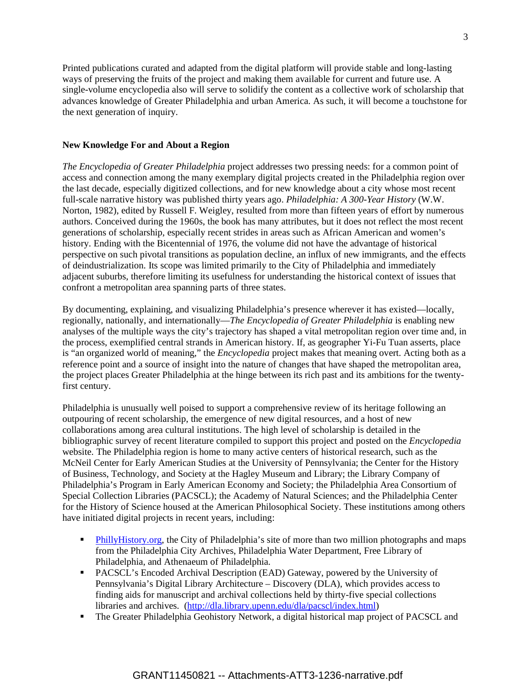Printed publications curated and adapted from the digital platform will provide stable and long-lasting ways of preserving the fruits of the project and making them available for current and future use. A single-volume encyclopedia also will serve to solidify the content as a collective work of scholarship that advances knowledge of Greater Philadelphia and urban America. As such, it will become a touchstone for the next generation of inquiry.

#### **New Knowledge For and About a Region**

*The Encyclopedia of Greater Philadelphia* project addresses two pressing needs: for a common point of access and connection among the many exemplary digital projects created in the Philadelphia region over the last decade, especially digitized collections, and for new knowledge about a city whose most recent full-scale narrative history was published thirty years ago. *Philadelphia: A 300-Year History* (W.W. Norton, 1982), edited by Russell F. Weigley, resulted from more than fifteen years of effort by numerous authors. Conceived during the 1960s, the book has many attributes, but it does not reflect the most recent generations of scholarship, especially recent strides in areas such as African American and women's history. Ending with the Bicentennial of 1976, the volume did not have the advantage of historical perspective on such pivotal transitions as population decline, an influx of new immigrants, and the effects of deindustrialization. Its scope was limited primarily to the City of Philadelphia and immediately adjacent suburbs, therefore limiting its usefulness for understanding the historical context of issues that confront a metropolitan area spanning parts of three states.

By documenting, explaining, and visualizing Philadelphia's presence wherever it has existed—locally, regionally, nationally, and internationally—*The Encyclopedia of Greater Philadelphia* is enabling new analyses of the multiple ways the city's trajectory has shaped a vital metropolitan region over time and, in the process, exemplified central strands in American history. If, as geographer Yi-Fu Tuan asserts, place is "an organized world of meaning," the *Encyclopedia* project makes that meaning overt. Acting both as a reference point and a source of insight into the nature of changes that have shaped the metropolitan area, the project places Greater Philadelphia at the hinge between its rich past and its ambitions for the twentyfirst century.

Philadelphia is unusually well poised to support a comprehensive review of its heritage following an outpouring of recent scholarship, the emergence of new digital resources, and a host of new collaborations among area cultural institutions. The high level of scholarship is detailed in the bibliographic survey of recent literature compiled to support this project and posted on the *Encyclopedia* website. The Philadelphia region is home to many active centers of historical research, such as the McNeil Center for Early American Studies at the University of Pennsylvania; the Center for the History of Business, Technology, and Society at the Hagley Museum and Library; the Library Company of Philadelphia's Program in Early American Economy and Society; the Philadelphia Area Consortium of Special Collection Libraries (PACSCL); the Academy of Natural Sciences; and the Philadelphia Center for the History of Science housed at the American Philosophical Society. These institutions among others have initiated digital projects in recent years, including:

- [PhillyHistory.org,](http://www.phillyhistory.org/) the City of Philadelphia's site of more than two million photographs and maps from the Philadelphia City Archives, Philadelphia Water Department, Free Library of Philadelphia, and Athenaeum of Philadelphia.
- **PACSCL's Encoded Archival Description (EAD) Gateway, powered by the University of** Pennsylvania's Digital Library Architecture – Discovery (DLA), which provides access to finding aids for manuscript and archival collections held by thirty-five special collections libraries and archives. [\(http://dla.library.upenn.edu/dla/pacscl/index.html\)](http://dla.library.upenn.edu/dla/pacscl/index.html)
- The Greater Philadelphia Geohistory Network, a digital historical map project of PACSCL and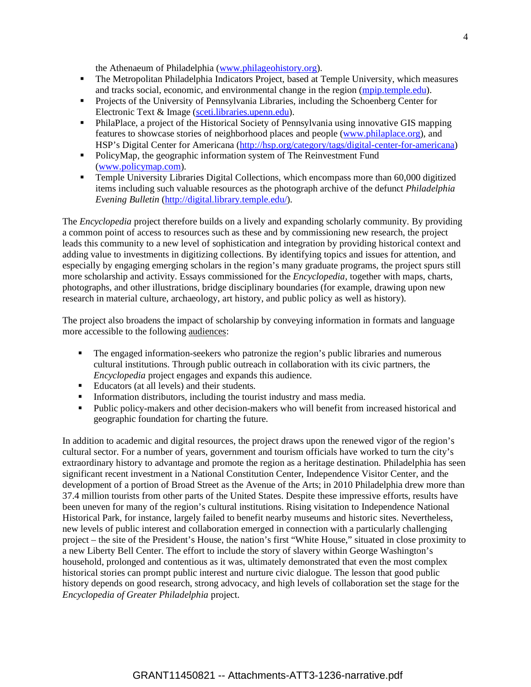the Athenaeum of Philadelphia [\(www.philageohistory.org\)](http://www.philageohistory.org/).

- The Metropolitan Philadelphia Indicators Project, based at Temple University, which measures and tracks social, economic, and environmental change in the region [\(mpip.temple.edu\)](http://mpip.temple.edu/).
- **Projects of the University of Pennsylvania Libraries, including the Schoenberg Center for** Electronic Text & Image [\(sceti.libraries.upenn.edu\)](http://sceti.libraries.upenn.edu/).
- PhilaPlace, a project of the Historical Society of Pennsylvania using innovative GIS mapping features to showcase stories of neighborhood places and people [\(www.philaplace.org\)](http://www.philaplace.org/), and HSP's Digital Center for Americana [\(http://hsp.org/category/tags/digital-center-for-americana\)](http://hsp.org/category/tags/digital-center-for-americana)
- PolicyMap, the geographic information system of The Reinvestment Fund [\(www.policymap.com\)](http://www.policymap.com/).
- Temple University Libraries Digital Collections, which encompass more than 60,000 digitized items including such valuable resources as the photograph archive of the defunct *Philadelphia Evening Bulletin* [\(http://digital.library.temple.edu/\)](http://digital.library.temple.edu/).

The *Encyclopedia* project therefore builds on a lively and expanding scholarly community. By providing a common point of access to resources such as these and by commissioning new research, the project leads this community to a new level of sophistication and integration by providing historical context and adding value to investments in digitizing collections. By identifying topics and issues for attention, and especially by engaging emerging scholars in the region's many graduate programs, the project spurs still more scholarship and activity. Essays commissioned for the *Encyclopedia*, together with maps, charts, photographs, and other illustrations, bridge disciplinary boundaries (for example, drawing upon new research in material culture, archaeology, art history, and public policy as well as history).

The project also broadens the impact of scholarship by conveying information in formats and language more accessible to the following audiences:

- The engaged information-seekers who patronize the region's public libraries and numerous cultural institutions. Through public outreach in collaboration with its civic partners, the *Encyclopedia* project engages and expands this audience.
- Educators (at all levels) and their students.
- Information distributors, including the tourist industry and mass media.
- Public policy-makers and other decision-makers who will benefit from increased historical and geographic foundation for charting the future.

In addition to academic and digital resources, the project draws upon the renewed vigor of the region's cultural sector. For a number of years, government and tourism officials have worked to turn the city's extraordinary history to advantage and promote the region as a heritage destination. Philadelphia has seen significant recent investment in a National Constitution Center, Independence Visitor Center, and the development of a portion of Broad Street as the Avenue of the Arts; in 2010 Philadelphia drew more than 37.4 million tourists from other parts of the United States. Despite these impressive efforts, results have been uneven for many of the region's cultural institutions. Rising visitation to Independence National Historical Park, for instance, largely failed to benefit nearby museums and historic sites. Nevertheless, new levels of public interest and collaboration emerged in connection with a particularly challenging project – the site of the President's House, the nation's first "White House," situated in close proximity to a new Liberty Bell Center. The effort to include the story of slavery within George Washington's household, prolonged and contentious as it was, ultimately demonstrated that even the most complex historical stories can prompt public interest and nurture civic dialogue. The lesson that good public history depends on good research, strong advocacy, and high levels of collaboration set the stage for the *Encyclopedia of Greater Philadelphia* project.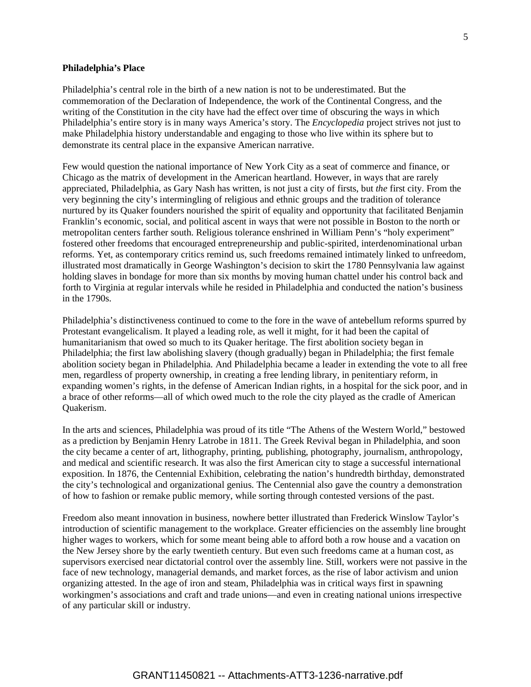#### **Philadelphia's Place**

Philadelphia's central role in the birth of a new nation is not to be underestimated. But the commemoration of the Declaration of Independence, the work of the Continental Congress, and the writing of the Constitution in the city have had the effect over time of obscuring the ways in which Philadelphia's entire story is in many ways America's story. The *Encyclopedia* project strives not just to make Philadelphia history understandable and engaging to those who live within its sphere but to demonstrate its central place in the expansive American narrative.

Few would question the national importance of New York City as a seat of commerce and finance, or Chicago as the matrix of development in the American heartland. However, in ways that are rarely appreciated, Philadelphia, as Gary Nash has written, is not just a city of firsts, but *the* first city. From the very beginning the city's intermingling of religious and ethnic groups and the tradition of tolerance nurtured by its Quaker founders nourished the spirit of equality and opportunity that facilitated Benjamin Franklin's economic, social, and political ascent in ways that were not possible in Boston to the north or metropolitan centers farther south. Religious tolerance enshrined in William Penn's "holy experiment" fostered other freedoms that encouraged entrepreneurship and public-spirited, interdenominational urban reforms. Yet, as contemporary critics remind us, such freedoms remained intimately linked to unfreedom, illustrated most dramatically in George Washington's decision to skirt the 1780 Pennsylvania law against holding slaves in bondage for more than six months by moving human chattel under his control back and forth to Virginia at regular intervals while he resided in Philadelphia and conducted the nation's business in the 1790s.

Philadelphia's distinctiveness continued to come to the fore in the wave of antebellum reforms spurred by Protestant evangelicalism. It played a leading role, as well it might, for it had been the capital of humanitarianism that owed so much to its Quaker heritage. The first abolition society began in Philadelphia; the first law abolishing slavery (though gradually) began in Philadelphia; the first female abolition society began in Philadelphia. And Philadelphia became a leader in extending the vote to all free men, regardless of property ownership, in creating a free lending library, in penitentiary reform, in expanding women's rights, in the defense of American Indian rights, in a hospital for the sick poor, and in a brace of other reforms—all of which owed much to the role the city played as the cradle of American Quakerism.

In the arts and sciences, Philadelphia was proud of its title "The Athens of the Western World," bestowed as a prediction by Benjamin Henry Latrobe in 1811. The Greek Revival began in Philadelphia, and soon the city became a center of art, lithography, printing, publishing, photography, journalism, anthropology, and medical and scientific research. It was also the first American city to stage a successful international exposition. In 1876, the Centennial Exhibition, celebrating the nation's hundredth birthday, demonstrated the city's technological and organizational genius. The Centennial also gave the country a demonstration of how to fashion or remake public memory, while sorting through contested versions of the past.

Freedom also meant innovation in business, nowhere better illustrated than Frederick Winslow Taylor's introduction of scientific management to the workplace. Greater efficiencies on the assembly line brought higher wages to workers, which for some meant being able to afford both a row house and a vacation on the New Jersey shore by the early twentieth century. But even such freedoms came at a human cost, as supervisors exercised near dictatorial control over the assembly line. Still, workers were not passive in the face of new technology, managerial demands, and market forces, as the rise of labor activism and union organizing attested. In the age of iron and steam, Philadelphia was in critical ways first in spawning workingmen's associations and craft and trade unions—and even in creating national unions irrespective of any particular skill or industry.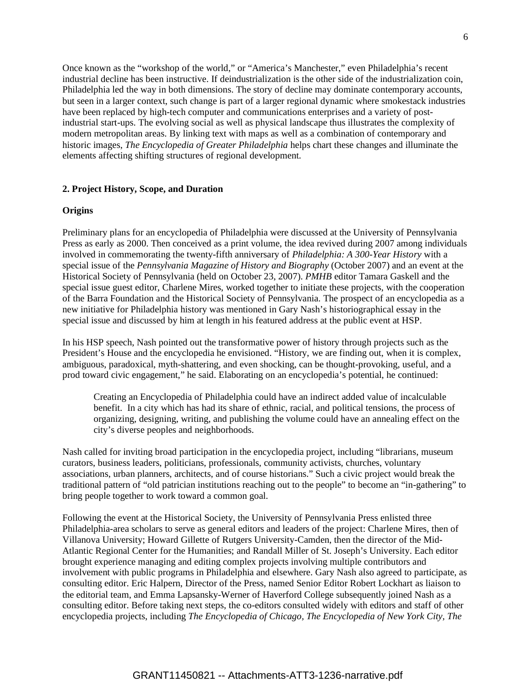Once known as the "workshop of the world," or "America's Manchester," even Philadelphia's recent industrial decline has been instructive. If deindustrialization is the other side of the industrialization coin, Philadelphia led the way in both dimensions. The story of decline may dominate contemporary accounts, but seen in a larger context, such change is part of a larger regional dynamic where smokestack industries have been replaced by high-tech computer and communications enterprises and a variety of postindustrial start-ups. The evolving social as well as physical landscape thus illustrates the complexity of modern metropolitan areas. By linking text with maps as well as a combination of contemporary and historic images, *The Encyclopedia of Greater Philadelphia* helps chart these changes and illuminate the elements affecting shifting structures of regional development.

## **2. Project History, Scope, and Duration**

#### **Origins**

Preliminary plans for an encyclopedia of Philadelphia were discussed at the University of Pennsylvania Press as early as 2000. Then conceived as a print volume, the idea revived during 2007 among individuals involved in commemorating the twenty-fifth anniversary of *Philadelphia: A 300-Year History* with a special issue of the *Pennsylvania Magazine of History and Biography* (October 2007) and an event at the Historical Society of Pennsylvania (held on October 23, 2007). *PMHB* editor Tamara Gaskell and the special issue guest editor, Charlene Mires, worked together to initiate these projects, with the cooperation of the Barra Foundation and the Historical Society of Pennsylvania. The prospect of an encyclopedia as a new initiative for Philadelphia history was mentioned in Gary Nash's historiographical essay in the special issue and discussed by him at length in his featured address at the public event at HSP.

In his HSP speech, Nash pointed out the transformative power of history through projects such as the President's House and the encyclopedia he envisioned. "History, we are finding out, when it is complex, ambiguous, paradoxical, myth-shattering, and even shocking, can be thought-provoking, useful, and a prod toward civic engagement," he said. Elaborating on an encyclopedia's potential, he continued:

Creating an Encyclopedia of Philadelphia could have an indirect added value of incalculable benefit. In a city which has had its share of ethnic, racial, and political tensions, the process of organizing, designing, writing, and publishing the volume could have an annealing effect on the city's diverse peoples and neighborhoods.

Nash called for inviting broad participation in the encyclopedia project, including "librarians, museum curators, business leaders, politicians, professionals, community activists, churches, voluntary associations, urban planners, architects, and of course historians." Such a civic project would break the traditional pattern of "old patrician institutions reaching out to the people" to become an "in-gathering" to bring people together to work toward a common goal.

Following the event at the Historical Society, the University of Pennsylvania Press enlisted three Philadelphia-area scholars to serve as general editors and leaders of the project: Charlene Mires, then of Villanova University; Howard Gillette of Rutgers University-Camden, then the director of the Mid-Atlantic Regional Center for the Humanities; and Randall Miller of St. Joseph's University. Each editor brought experience managing and editing complex projects involving multiple contributors and involvement with public programs in Philadelphia and elsewhere. Gary Nash also agreed to participate, as consulting editor. Eric Halpern, Director of the Press, named Senior Editor Robert Lockhart as liaison to the editorial team, and Emma Lapsansky-Werner of Haverford College subsequently joined Nash as a consulting editor. Before taking next steps, the co-editors consulted widely with editors and staff of other encyclopedia projects, including *The Encyclopedia of Chicago, The Encyclopedia of New York City, The*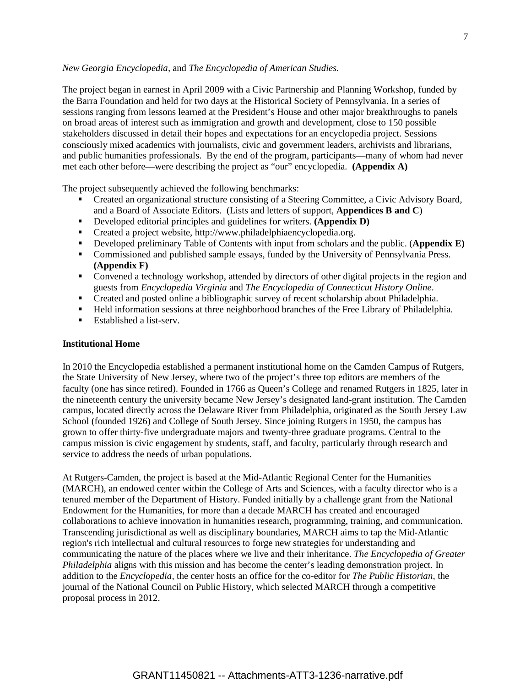#### *New Georgia Encyclopedia,* and *The Encyclopedia of American Studies.*

The project began in earnest in April 2009 with a Civic Partnership and Planning Workshop, funded by the Barra Foundation and held for two days at the Historical Society of Pennsylvania. In a series of sessions ranging from lessons learned at the President's House and other major breakthroughs to panels on broad areas of interest such as immigration and growth and development, close to 150 possible stakeholders discussed in detail their hopes and expectations for an encyclopedia project. Sessions consciously mixed academics with journalists, civic and government leaders, archivists and librarians, and public humanities professionals. By the end of the program, participants—many of whom had never met each other before—were describing the project as "our" encyclopedia. **(Appendix A)**

The project subsequently achieved the following benchmarks:

- Created an organizational structure consisting of a Steering Committee, a Civic Advisory Board, and a Board of Associate Editors. (Lists and letters of support, **Appendices B and C**)
- Developed editorial principles and guidelines for writers. **(Appendix D)**
- Created a project website, http://www.philadelphiaencyclopedia.org.
- Developed preliminary Table of Contents with input from scholars and the public. (**Appendix E)**
- Commissioned and published sample essays, funded by the University of Pennsylvania Press. **(Appendix F)**
- Convened a technology workshop, attended by directors of other digital projects in the region and guests from *Encyclopedia Virginia* and *The Encyclopedia of Connecticut History Online*.
- Created and posted online a bibliographic survey of recent scholarship about Philadelphia.
- Held information sessions at three neighborhood branches of the Free Library of Philadelphia.
- Established a list-serv.

## **Institutional Home**

In 2010 the Encyclopedia established a permanent institutional home on the Camden Campus of Rutgers, the State University of New Jersey, where two of the project's three top editors are members of the faculty (one has since retired). Founded in 1766 as Queen's College and renamed Rutgers in 1825, later in the nineteenth century the university became New Jersey's designated land-grant institution. The Camden campus, located directly across the Delaware River from Philadelphia, originated as the South Jersey Law School (founded 1926) and College of South Jersey. Since joining Rutgers in 1950, the campus has grown to offer thirty-five undergraduate majors and twenty-three graduate programs. Central to the campus mission is civic engagement by students, staff, and faculty, particularly through research and service to address the needs of urban populations.

At Rutgers-Camden, the project is based at the Mid-Atlantic Regional Center for the Humanities (MARCH), an endowed center within the College of Arts and Sciences, with a faculty director who is a tenured member of the Department of History. Funded initially by a challenge grant from the National Endowment for the Humanities, for more than a decade MARCH has created and encouraged collaborations to achieve innovation in humanities research, programming, training, and communication. Transcending jurisdictional as well as disciplinary boundaries, MARCH aims to tap the Mid-Atlantic region's rich intellectual and cultural resources to forge new strategies for understanding and communicating the nature of the places where we live and their inheritance. *The Encyclopedia of Greater Philadelphia* aligns with this mission and has become the center's leading demonstration project. In addition to the *Encyclopedia,* the center hosts an office for the co-editor for *The Public Historian,* the journal of the National Council on Public History, which selected MARCH through a competitive proposal process in 2012.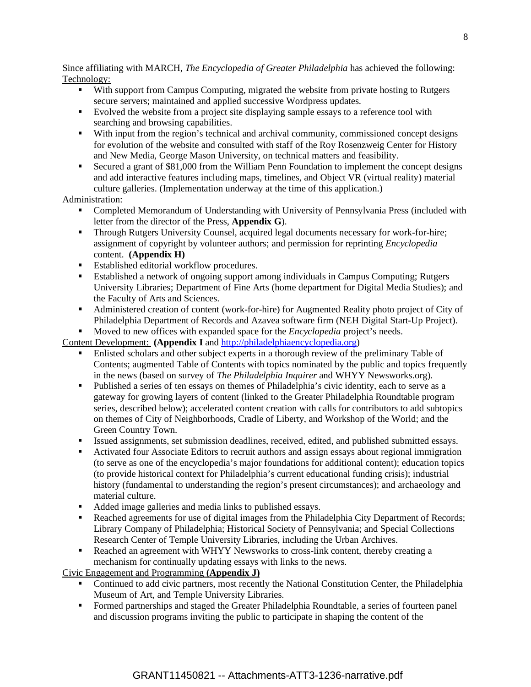Since affiliating with MARCH, *The Encyclopedia of Greater Philadelphia* has achieved the following: Technology:

- With support from Campus Computing, migrated the website from private hosting to Rutgers secure servers; maintained and applied successive Wordpress updates.
- Evolved the website from a project site displaying sample essays to a reference tool with searching and browsing capabilities.
- With input from the region's technical and archival community, commissioned concept designs for evolution of the website and consulted with staff of the Roy Rosenzweig Center for History and New Media, George Mason University, on technical matters and feasibility.
- Secured a grant of \$81,000 from the William Penn Foundation to implement the concept designs and add interactive features including maps, timelines, and Object VR (virtual reality) material culture galleries. (Implementation underway at the time of this application.)

# Administration:

- Completed Memorandum of Understanding with University of Pennsylvania Press (included with letter from the director of the Press, **Appendix G**).
- **Through Rutgers University Counsel, acquired legal documents necessary for work-for-hire;** assignment of copyright by volunteer authors; and permission for reprinting *Encyclopedia* content. **(Appendix H)**
- Established editorial workflow procedures.
- Established a network of ongoing support among individuals in Campus Computing; Rutgers University Libraries; Department of Fine Arts (home department for Digital Media Studies); and the Faculty of Arts and Sciences.
- Administered creation of content (work-for-hire) for Augmented Reality photo project of City of Philadelphia Department of Records and Azavea software firm (NEH Digital Start-Up Project).

Moved to new offices with expanded space for the *Encyclopedia* project's needs.

Content Development: **(Appendix I** and [http://philadelphiaencyclopedia.org\)](http://philadelphiaencyclopedia.org/)

- Enlisted scholars and other subject experts in a thorough review of the preliminary Table of Contents; augmented Table of Contents with topics nominated by the public and topics frequently in the news (based on survey of *The Philadelphia Inquirer* and WHYY Newsworks.org).
- Published a series of ten essays on themes of Philadelphia's civic identity, each to serve as a gateway for growing layers of content (linked to the Greater Philadelphia Roundtable program series, described below); accelerated content creation with calls for contributors to add subtopics on themes of City of Neighborhoods, Cradle of Liberty, and Workshop of the World; and the Green Country Town.
- Issued assignments, set submission deadlines, received, edited, and published submitted essays.
- Activated four Associate Editors to recruit authors and assign essays about regional immigration (to serve as one of the encyclopedia's major foundations for additional content); education topics (to provide historical context for Philadelphia's current educational funding crisis); industrial history (fundamental to understanding the region's present circumstances); and archaeology and material culture.
- Added image galleries and media links to published essays.
- Reached agreements for use of digital images from the Philadelphia City Department of Records; Library Company of Philadelphia; Historical Society of Pennsylvania; and Special Collections Research Center of Temple University Libraries, including the Urban Archives.
- Reached an agreement with WHYY Newsworks to cross-link content, thereby creating a mechanism for continually updating essays with links to the news.

Civic Engagement and Programming **(Appendix J)**

- Continued to add civic partners, most recently the National Constitution Center, the Philadelphia Museum of Art, and Temple University Libraries.
- **Formed partnerships and staged the Greater Philadelphia Roundtable, a series of fourteen panel** and discussion programs inviting the public to participate in shaping the content of the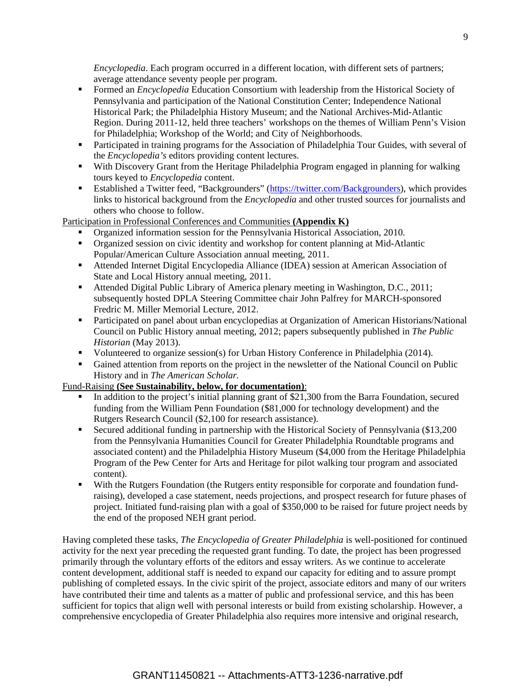*Encyclopedia*. Each program occurred in a different location, with different sets of partners; average attendance seventy people per program.

- Formed an *Encyclopedia* Education Consortium with leadership from the Historical Society of Pennsylvania and participation of the National Constitution Center; Independence National Historical Park; the Philadelphia History Museum; and the National Archives-Mid-Atlantic Region. During 2011-12, held three teachers' workshops on the themes of William Penn's Vision for Philadelphia; Workshop of the World; and City of Neighborhoods.
- Participated in training programs for the Association of Philadelphia Tour Guides, with several of the *Encyclopedia's* editors providing content lectures.
- With Discovery Grant from the Heritage Philadelphia Program engaged in planning for walking tours keyed to *Encyclopedia* content.
- Established a Twitter feed, "Backgrounders" [\(https://twitter.com/Backgrounders\)](https://twitter.com/Backgrounders), which provides links to historical background from the *Encyclopedia* and other trusted sources for journalists and others who choose to follow.

Participation in Professional Conferences and Communities **(Appendix K)**

- Organized information session for the Pennsylvania Historical Association, 2010.
- Organized session on civic identity and workshop for content planning at Mid-Atlantic Popular/American Culture Association annual meeting, 2011.
- Attended Internet Digital Encyclopedia Alliance (IDEA) session at American Association of State and Local History annual meeting, 2011.
- Attended Digital Public Library of America plenary meeting in Washington, D.C., 2011; subsequently hosted DPLA Steering Committee chair John Palfrey for MARCH-sponsored Fredric M. Miller Memorial Lecture, 2012.
- Participated on panel about urban encyclopedias at Organization of American Historians/National Council on Public History annual meeting, 2012; papers subsequently published in *The Public Historian* (May 2013).
- Volunteered to organize session(s) for Urban History Conference in Philadelphia (2014).
- Gained attention from reports on the project in the newsletter of the National Council on Public History and in *The American Scholar.*

# Fund-Raising **(See Sustainability, below, for documentation)**:

- In addition to the project's initial planning grant of \$21,300 from the Barra Foundation, secured funding from the William Penn Foundation (\$81,000 for technology development) and the Rutgers Research Council (\$2,100 for research assistance).
- Secured additional funding in partnership with the Historical Society of Pennsylvania (\$13,200 from the Pennsylvania Humanities Council for Greater Philadelphia Roundtable programs and associated content) and the Philadelphia History Museum (\$4,000 from the Heritage Philadelphia Program of the Pew Center for Arts and Heritage for pilot walking tour program and associated content).
- With the Rutgers Foundation (the Rutgers entity responsible for corporate and foundation fundraising), developed a case statement, needs projections, and prospect research for future phases of project. Initiated fund-raising plan with a goal of \$350,000 to be raised for future project needs by the end of the proposed NEH grant period.

Having completed these tasks, *The Encyclopedia of Greater Philadelphia* is well-positioned for continued activity for the next year preceding the requested grant funding. To date, the project has been progressed primarily through the voluntary efforts of the editors and essay writers. As we continue to accelerate content development, additional staff is needed to expand our capacity for editing and to assure prompt publishing of completed essays. In the civic spirit of the project, associate editors and many of our writers have contributed their time and talents as a matter of public and professional service, and this has been sufficient for topics that align well with personal interests or build from existing scholarship. However, a comprehensive encyclopedia of Greater Philadelphia also requires more intensive and original research,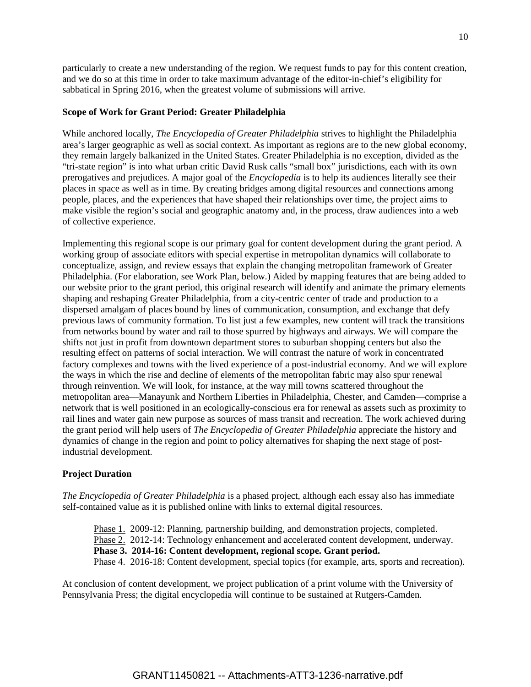particularly to create a new understanding of the region. We request funds to pay for this content creation, and we do so at this time in order to take maximum advantage of the editor-in-chief's eligibility for sabbatical in Spring 2016, when the greatest volume of submissions will arrive.

## **Scope of Work for Grant Period: Greater Philadelphia**

While anchored locally, *The Encyclopedia of Greater Philadelphia* strives to highlight the Philadelphia area's larger geographic as well as social context. As important as regions are to the new global economy, they remain largely balkanized in the United States. Greater Philadelphia is no exception, divided as the "tri-state region" is into what urban critic David Rusk calls "small box" jurisdictions, each with its own prerogatives and prejudices. A major goal of the *Encyclopedia* is to help its audiences literally see their places in space as well as in time. By creating bridges among digital resources and connections among people, places, and the experiences that have shaped their relationships over time, the project aims to make visible the region's social and geographic anatomy and, in the process, draw audiences into a web of collective experience.

Implementing this regional scope is our primary goal for content development during the grant period. A working group of associate editors with special expertise in metropolitan dynamics will collaborate to conceptualize, assign, and review essays that explain the changing metropolitan framework of Greater Philadelphia. (For elaboration, see Work Plan, below.) Aided by mapping features that are being added to our website prior to the grant period, this original research will identify and animate the primary elements shaping and reshaping Greater Philadelphia, from a city-centric center of trade and production to a dispersed amalgam of places bound by lines of communication, consumption, and exchange that defy previous laws of community formation. To list just a few examples, new content will track the transitions from networks bound by water and rail to those spurred by highways and airways. We will compare the shifts not just in profit from downtown department stores to suburban shopping centers but also the resulting effect on patterns of social interaction. We will contrast the nature of work in concentrated factory complexes and towns with the lived experience of a post-industrial economy. And we will explore the ways in which the rise and decline of elements of the metropolitan fabric may also spur renewal through reinvention. We will look, for instance, at the way mill towns scattered throughout the metropolitan area—Manayunk and Northern Liberties in Philadelphia, Chester, and Camden—comprise a network that is well positioned in an ecologically-conscious era for renewal as assets such as proximity to rail lines and water gain new purpose as sources of mass transit and recreation. The work achieved during the grant period will help users of *The Encyclopedia of Greater Philadelphia* appreciate the history and dynamics of change in the region and point to policy alternatives for shaping the next stage of postindustrial development.

#### **Project Duration**

*The Encyclopedia of Greater Philadelphia* is a phased project, although each essay also has immediate self-contained value as it is published online with links to external digital resources.

Phase 1. 2009-12: Planning, partnership building, and demonstration projects, completed. Phase 2. 2012-14: Technology enhancement and accelerated content development, underway. **Phase 3. 2014-16: Content development, regional scope. Grant period.** Phase 4. 2016-18: Content development, special topics (for example, arts, sports and recreation).

At conclusion of content development, we project publication of a print volume with the University of Pennsylvania Press; the digital encyclopedia will continue to be sustained at Rutgers-Camden.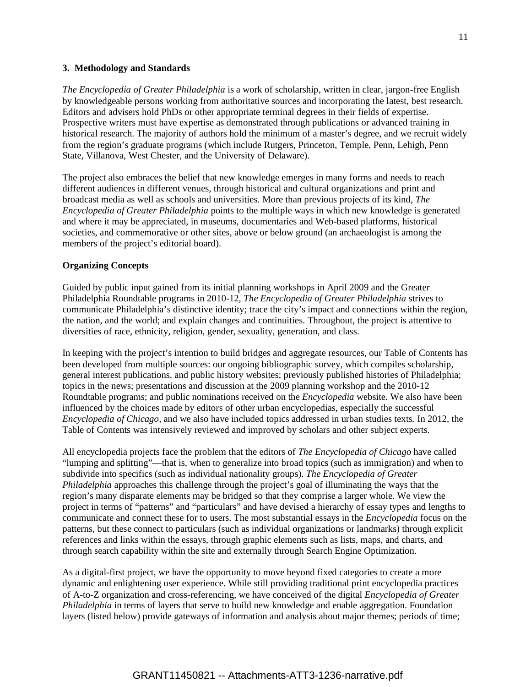#### **3. Methodology and Standards**

*The Encyclopedia of Greater Philadelphia* is a work of scholarship, written in clear, jargon-free English by knowledgeable persons working from authoritative sources and incorporating the latest, best research. Editors and advisers hold PhDs or other appropriate terminal degrees in their fields of expertise. Prospective writers must have expertise as demonstrated through publications or advanced training in historical research. The majority of authors hold the minimum of a master's degree, and we recruit widely from the region's graduate programs (which include Rutgers, Princeton, Temple, Penn, Lehigh, Penn State, Villanova, West Chester, and the University of Delaware).

The project also embraces the belief that new knowledge emerges in many forms and needs to reach different audiences in different venues, through historical and cultural organizations and print and broadcast media as well as schools and universities. More than previous projects of its kind, *The Encyclopedia of Greater Philadelphia* points to the multiple ways in which new knowledge is generated and where it may be appreciated, in museums, documentaries and Web-based platforms, historical societies, and commemorative or other sites, above or below ground (an archaeologist is among the members of the project's editorial board).

## **Organizing Concepts**

Guided by public input gained from its initial planning workshops in April 2009 and the Greater Philadelphia Roundtable programs in 2010-12, *The Encyclopedia of Greater Philadelphia* strives to communicate Philadelphia's distinctive identity; trace the city's impact and connections within the region, the nation, and the world; and explain changes and continuities. Throughout, the project is attentive to diversities of race, ethnicity, religion, gender, sexuality, generation, and class.

In keeping with the project's intention to build bridges and aggregate resources, our Table of Contents has been developed from multiple sources: our ongoing bibliographic survey, which compiles scholarship, general interest publications, and public history websites; previously published histories of Philadelphia; topics in the news; presentations and discussion at the 2009 planning workshop and the 2010-12 Roundtable programs; and public nominations received on the *Encyclopedia* website. We also have been influenced by the choices made by editors of other urban encyclopedias, especially the successful *Encyclopedia of Chicago,* and we also have included topics addressed in urban studies texts*.* In 2012, the Table of Contents was intensively reviewed and improved by scholars and other subject experts.

All encyclopedia projects face the problem that the editors of *The Encyclopedia of Chicago* have called "lumping and splitting"—that is, when to generalize into broad topics (such as immigration) and when to subdivide into specifics (such as individual nationality groups). *The Encyclopedia of Greater Philadelphia* approaches this challenge through the project's goal of illuminating the ways that the region's many disparate elements may be bridged so that they comprise a larger whole. We view the project in terms of "patterns" and "particulars" and have devised a hierarchy of essay types and lengths to communicate and connect these for to users. The most substantial essays in the *Encyclopedia* focus on the patterns, but these connect to particulars (such as individual organizations or landmarks) through explicit references and links within the essays, through graphic elements such as lists, maps, and charts, and through search capability within the site and externally through Search Engine Optimization.

As a digital-first project, we have the opportunity to move beyond fixed categories to create a more dynamic and enlightening user experience. While still providing traditional print encyclopedia practices of A-to-Z organization and cross-referencing, we have conceived of the digital *Encyclopedia of Greater Philadelphia* in terms of layers that serve to build new knowledge and enable aggregation. Foundation layers (listed below) provide gateways of information and analysis about major themes; periods of time;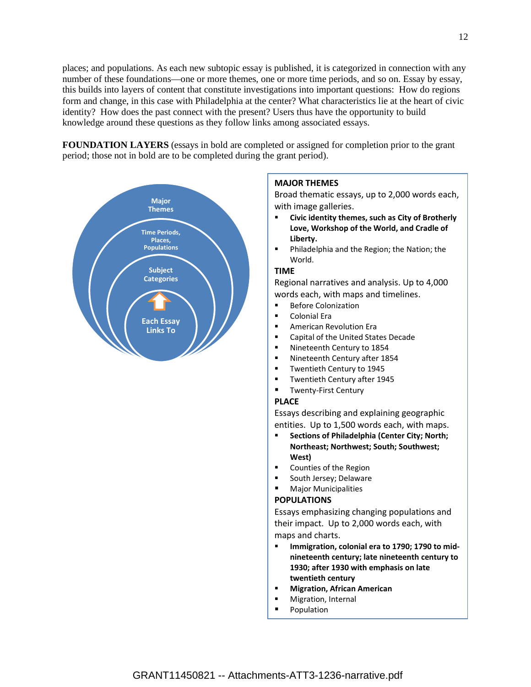places; and populations. As each new subtopic essay is published, it is categorized in connection with any number of these foundations—one or more themes, one or more time periods, and so on. Essay by essay, this builds into layers of content that constitute investigations into important questions: How do regions form and change, in this case with Philadelphia at the center? What characteristics lie at the heart of civic identity? How does the past connect with the present? Users thus have the opportunity to build knowledge around these questions as they follow links among associated essays.

**FOUNDATION LAYERS** (essays in bold are completed or assigned for completion prior to the grant period; those not in bold are to be completed during the grant period).



## **MAJOR THEMES**

Broad thematic essays, up to 2,000 words each, with image galleries.

- **Civic identity themes, such as City of Brotherly Love, Workshop of the World, and Cradle of Liberty.**
- **Philadelphia and the Region; the Nation; the** World.

#### **TIME**

Regional narratives and analysis. Up to 4,000 words each, with maps and timelines.

- **Before Colonization**
- Colonial Era
- **EXEC** American Revolution Era
- Capital of the United States Decade
- **Nineteenth Century to 1854**
- **Nineteenth Century after 1854**
- **Twentieth Century to 1945**
- **Twentieth Century after 1945**
- **Twenty-First Century**

## **PLACE**

Essays describing and explaining geographic entities. Up to 1,500 words each, with maps.

- **Sections of Philadelphia (Center City; North; Northeast; Northwest; South; Southwest; West)**
- Counties of the Region
- South Jersey; Delaware
- Major Municipalities

## **POPULATIONS**

Essays emphasizing changing populations and their impact. Up to 2,000 words each, with maps and charts.

- **Immigration, colonial era to 1790; 1790 to midnineteenth century; late nineteenth century to 1930; after 1930 with emphasis on late twentieth century**
- **Migration, African American**
- Migration, Internal
- Population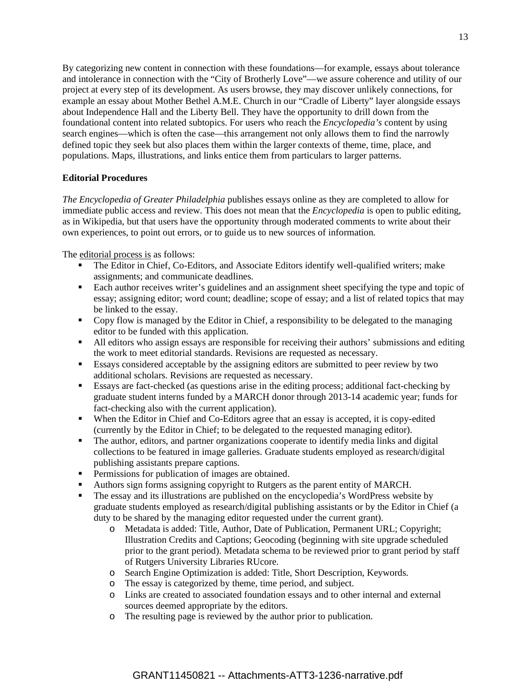By categorizing new content in connection with these foundations—for example, essays about tolerance and intolerance in connection with the "City of Brotherly Love"—we assure coherence and utility of our project at every step of its development. As users browse, they may discover unlikely connections, for example an essay about Mother Bethel A.M.E. Church in our "Cradle of Liberty" layer alongside essays about Independence Hall and the Liberty Bell. They have the opportunity to drill down from the foundational content into related subtopics. For users who reach the *Encyclopedia's* content by using search engines—which is often the case—this arrangement not only allows them to find the narrowly defined topic they seek but also places them within the larger contexts of theme, time, place, and populations. Maps, illustrations, and links entice them from particulars to larger patterns.

## **Editorial Procedures**

*The Encyclopedia of Greater Philadelphia* publishes essays online as they are completed to allow for immediate public access and review. This does not mean that the *Encyclopedia* is open to public editing, as in Wikipedia, but that users have the opportunity through moderated comments to write about their own experiences, to point out errors, or to guide us to new sources of information.

The editorial process is as follows:

- The Editor in Chief, Co-Editors, and Associate Editors identify well-qualified writers; make assignments; and communicate deadlines.
- Each author receives writer's guidelines and an assignment sheet specifying the type and topic of essay; assigning editor; word count; deadline; scope of essay; and a list of related topics that may be linked to the essay.
- Copy flow is managed by the Editor in Chief, a responsibility to be delegated to the managing editor to be funded with this application.
- All editors who assign essays are responsible for receiving their authors' submissions and editing the work to meet editorial standards. Revisions are requested as necessary.
- Essays considered acceptable by the assigning editors are submitted to peer review by two additional scholars. Revisions are requested as necessary.
- Essays are fact-checked (as questions arise in the editing process; additional fact-checking by graduate student interns funded by a MARCH donor through 2013-14 academic year; funds for fact-checking also with the current application).
- When the Editor in Chief and Co-Editors agree that an essay is accepted, it is copy-edited (currently by the Editor in Chief; to be delegated to the requested managing editor).
- The author, editors, and partner organizations cooperate to identify media links and digital collections to be featured in image galleries. Graduate students employed as research/digital publishing assistants prepare captions.
- **Permissions for publication of images are obtained.**
- Authors sign forms assigning copyright to Rutgers as the parent entity of MARCH.
- The essay and its illustrations are published on the encyclopedia's WordPress website by graduate students employed as research/digital publishing assistants or by the Editor in Chief (a duty to be shared by the managing editor requested under the current grant).
	- o Metadata is added: Title, Author, Date of Publication, Permanent URL; Copyright; Illustration Credits and Captions; Geocoding (beginning with site upgrade scheduled prior to the grant period). Metadata schema to be reviewed prior to grant period by staff of Rutgers University Libraries RUcore.
	- o Search Engine Optimization is added: Title, Short Description, Keywords.
	- o The essay is categorized by theme, time period, and subject.
	- o Links are created to associated foundation essays and to other internal and external sources deemed appropriate by the editors.
	- o The resulting page is reviewed by the author prior to publication.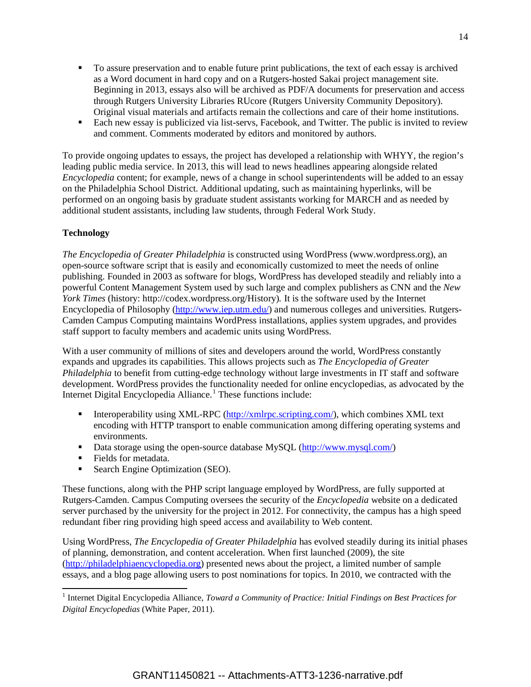- To assure preservation and to enable future print publications, the text of each essay is archived as a Word document in hard copy and on a Rutgers-hosted Sakai project management site. Beginning in 2013, essays also will be archived as PDF/A documents for preservation and access through Rutgers University Libraries RUcore (Rutgers University Community Depository). Original visual materials and artifacts remain the collections and care of their home institutions.
- Each new essay is publicized via list-servs, Facebook, and Twitter. The public is invited to review and comment. Comments moderated by editors and monitored by authors.

To provide ongoing updates to essays, the project has developed a relationship with WHYY, the region's leading public media service. In 2013, this will lead to news headlines appearing alongside related *Encyclopedia* content; for example, news of a change in school superintendents will be added to an essay on the Philadelphia School District. Additional updating, such as maintaining hyperlinks, will be performed on an ongoing basis by graduate student assistants working for MARCH and as needed by additional student assistants, including law students, through Federal Work Study.

# **Technology**

*The Encyclopedia of Greater Philadelphia* is constructed using WordPress (www.wordpress.org), an open-source software script that is easily and economically customized to meet the needs of online publishing. Founded in 2003 as software for blogs, WordPress has developed steadily and reliably into a powerful Content Management System used by such large and complex publishers as CNN and the *New York Times* (history: http://codex.wordpress.org/History)*.* It is the software used by the Internet Encyclopedia of Philosophy [\(http://www.iep.utm.edu/\)](http://www.iep.utm.edu/) and numerous colleges and universities. Rutgers-Camden Campus Computing maintains WordPress installations, applies system upgrades, and provides staff support to faculty members and academic units using WordPress.

With a user community of millions of sites and developers around the world, WordPress constantly expands and upgrades its capabilities. This allows projects such as *The Encyclopedia of Greater Philadelphia* to benefit from cutting-edge technology without large investments in IT staff and software development. WordPress provides the functionality needed for online encyclopedias, as advocated by the Internet Digital Encyclopedia Alliance. [1](#page-14-0) These functions include:

- Interoperability using XML-RPC [\(http://xmlrpc.scripting.com/\)](http://xmlrpc.scripting.com/), which combines XML text encoding with HTTP transport to enable communication among differing operating systems and environments.
- Data storage using the open-source database MySQL [\(http://www.mysql.com/\)](http://www.mysql.com/)
- Fields for metadata.
- Search Engine Optimization (SEO).

These functions, along with the PHP script language employed by WordPress, are fully supported at Rutgers-Camden. Campus Computing oversees the security of the *Encyclopedia* website on a dedicated server purchased by the university for the project in 2012. For connectivity, the campus has a high speed redundant fiber ring providing high speed access and availability to Web content.

Using WordPress, *The Encyclopedia of Greater Philadelphia* has evolved steadily during its initial phases of planning, demonstration, and content acceleration. When first launched (2009), the site [\(http://philadelphiaencyclopedia.org\)](http://philadelphiaencyclopedia.org/) presented news about the project, a limited number of sample essays, and a blog page allowing users to post nominations for topics. In 2010, we contracted with the

<span id="page-14-0"></span><sup>&</sup>lt;sup>1</sup> Internet Digital Encyclopedia Alliance, *Toward a Community of Practice: Initial Findings on Best Practices for Digital Encyclopedias* (White Paper, 2011).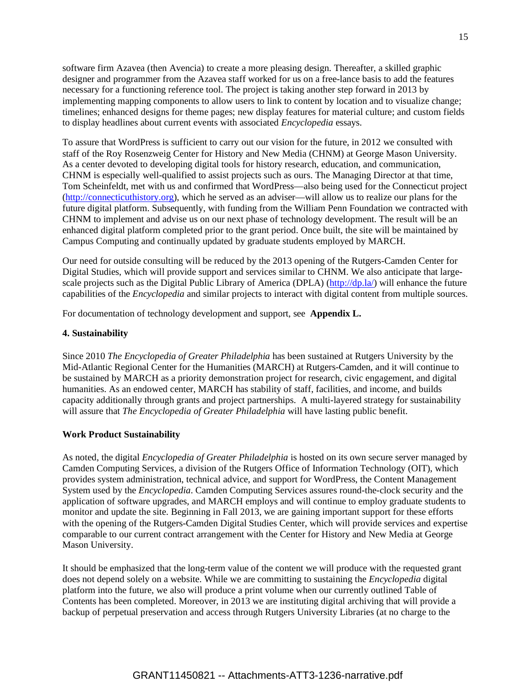software firm Azavea (then Avencia) to create a more pleasing design. Thereafter, a skilled graphic designer and programmer from the Azavea staff worked for us on a free-lance basis to add the features necessary for a functioning reference tool. The project is taking another step forward in 2013 by implementing mapping components to allow users to link to content by location and to visualize change; timelines; enhanced designs for theme pages; new display features for material culture; and custom fields to display headlines about current events with associated *Encyclopedia* essays.

To assure that WordPress is sufficient to carry out our vision for the future, in 2012 we consulted with staff of the Roy Rosenzweig Center for History and New Media (CHNM) at George Mason University. As a center devoted to developing digital tools for history research, education, and communication, CHNM is especially well-qualified to assist projects such as ours. The Managing Director at that time, Tom Scheinfeldt, met with us and confirmed that WordPress—also being used for the Connecticut project [\(http://connecticuthistory.org\)](http://connecticuthistory.org/), which he served as an adviser—will allow us to realize our plans for the future digital platform. Subsequently, with funding from the William Penn Foundation we contracted with CHNM to implement and advise us on our next phase of technology development. The result will be an enhanced digital platform completed prior to the grant period. Once built, the site will be maintained by Campus Computing and continually updated by graduate students employed by MARCH.

Our need for outside consulting will be reduced by the 2013 opening of the Rutgers-Camden Center for Digital Studies, which will provide support and services similar to CHNM. We also anticipate that large-scale projects such as the Digital Public Library of America (DPLA) [\(http://dp.la/\)](http://dp.la/) will enhance the future capabilities of the *Encyclopedia* and similar projects to interact with digital content from multiple sources.

For documentation of technology development and support, see **Appendix L.**

## **4. Sustainability**

Since 2010 *The Encyclopedia of Greater Philadelphia* has been sustained at Rutgers University by the Mid-Atlantic Regional Center for the Humanities (MARCH) at Rutgers-Camden, and it will continue to be sustained by MARCH as a priority demonstration project for research, civic engagement, and digital humanities. As an endowed center, MARCH has stability of staff, facilities, and income, and builds capacity additionally through grants and project partnerships. A multi-layered strategy for sustainability will assure that *The Encyclopedia of Greater Philadelphia* will have lasting public benefit.

## **Work Product Sustainability**

As noted, the digital *Encyclopedia of Greater Philadelphia* is hosted on its own secure server managed by Camden Computing Services, a division of the Rutgers Office of Information Technology (OIT), which provides system administration, technical advice, and support for WordPress, the Content Management System used by the *Encyclopedia*. Camden Computing Services assures round-the-clock security and the application of software upgrades, and MARCH employs and will continue to employ graduate students to monitor and update the site. Beginning in Fall 2013, we are gaining important support for these efforts with the opening of the Rutgers-Camden Digital Studies Center, which will provide services and expertise comparable to our current contract arrangement with the Center for History and New Media at George Mason University.

It should be emphasized that the long-term value of the content we will produce with the requested grant does not depend solely on a website. While we are committing to sustaining the *Encyclopedia* digital platform into the future, we also will produce a print volume when our currently outlined Table of Contents has been completed. Moreover, in 2013 we are instituting digital archiving that will provide a backup of perpetual preservation and access through Rutgers University Libraries (at no charge to the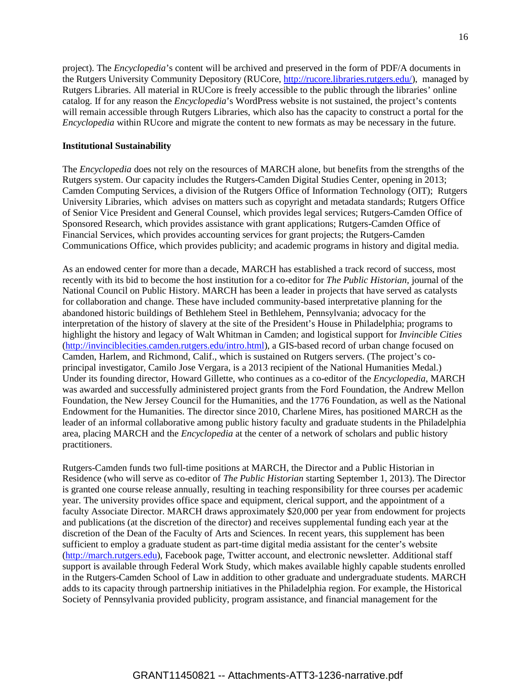project). The *Encyclopedia*'s content will be archived and preserved in the form of PDF/A documents in the Rutgers University Community Depository (RUCore, [http://rucore.libraries.rutgers.edu/\)](http://rucore.libraries.rutgers.edu/), managed by Rutgers Libraries. All material in RUCore is freely accessible to the public through the libraries' online catalog. If for any reason the *Encyclopedia*'s WordPress website is not sustained, the project's contents will remain accessible through Rutgers Libraries, which also has the capacity to construct a portal for the *Encyclopedia* within RUcore and migrate the content to new formats as may be necessary in the future.

## **Institutional Sustainability**

The *Encyclopedia* does not rely on the resources of MARCH alone, but benefits from the strengths of the Rutgers system. Our capacity includes the Rutgers-Camden Digital Studies Center, opening in 2013; Camden Computing Services, a division of the Rutgers Office of Information Technology (OIT); Rutgers University Libraries, which advises on matters such as copyright and metadata standards; Rutgers Office of Senior Vice President and General Counsel, which provides legal services; Rutgers-Camden Office of Sponsored Research, which provides assistance with grant applications; Rutgers-Camden Office of Financial Services, which provides accounting services for grant projects; the Rutgers-Camden Communications Office, which provides publicity; and academic programs in history and digital media.

As an endowed center for more than a decade, MARCH has established a track record of success, most recently with its bid to become the host institution for a co-editor for *The Public Historian,* journal of the National Council on Public History. MARCH has been a leader in projects that have served as catalysts for collaboration and change. These have included community-based interpretative planning for the abandoned historic buildings of Bethlehem Steel in Bethlehem, Pennsylvania; advocacy for the interpretation of the history of slavery at the site of the President's House in Philadelphia; programs to highlight the history and legacy of Walt Whitman in Camden; and logistical support for *Invincible Cities* [\(http://invinciblecities.camden.rutgers.edu/intro.html\)](http://invinciblecities.camden.rutgers.edu/intro.html), a GIS-based record of urban change focused on Camden, Harlem, and Richmond, Calif., which is sustained on Rutgers servers. (The project's coprincipal investigator, Camilo Jose Vergara, is a 2013 recipient of the National Humanities Medal.) Under its founding director, Howard Gillette, who continues as a co-editor of the *Encyclopedia*, MARCH was awarded and successfully administered project grants from the Ford Foundation, the Andrew Mellon Foundation, the New Jersey Council for the Humanities, and the 1776 Foundation, as well as the National Endowment for the Humanities. The director since 2010, Charlene Mires, has positioned MARCH as the leader of an informal collaborative among public history faculty and graduate students in the Philadelphia area, placing MARCH and the *Encyclopedia* at the center of a network of scholars and public history practitioners.

Rutgers-Camden funds two full-time positions at MARCH, the Director and a Public Historian in Residence (who will serve as co-editor of *The Public Historian* starting September 1, 2013). The Director is granted one course release annually, resulting in teaching responsibility for three courses per academic year. The university provides office space and equipment, clerical support, and the appointment of a faculty Associate Director. MARCH draws approximately \$20,000 per year from endowment for projects and publications (at the discretion of the director) and receives supplemental funding each year at the discretion of the Dean of the Faculty of Arts and Sciences. In recent years, this supplement has been sufficient to employ a graduate student as part-time digital media assistant for the center's website [\(http://march.rutgers.edu\)](http://march.rutgers.edu/), Facebook page, Twitter account, and electronic newsletter. Additional staff support is available through Federal Work Study, which makes available highly capable students enrolled in the Rutgers-Camden School of Law in addition to other graduate and undergraduate students. MARCH adds to its capacity through partnership initiatives in the Philadelphia region. For example, the Historical Society of Pennsylvania provided publicity, program assistance, and financial management for the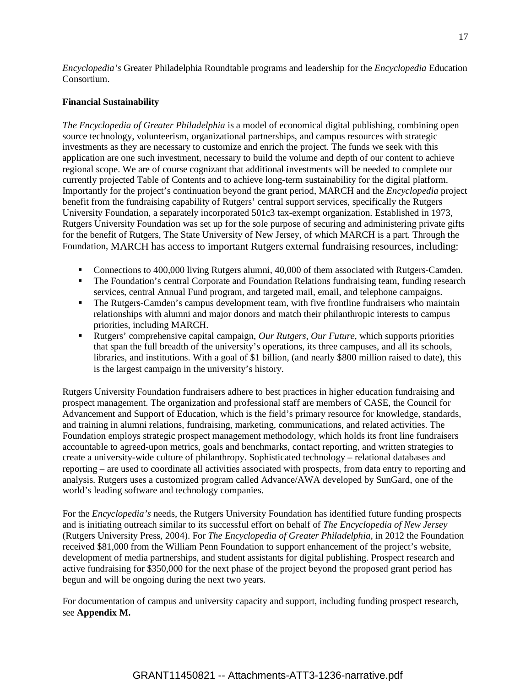*Encyclopedia's* Greater Philadelphia Roundtable programs and leadership for the *Encyclopedia* Education Consortium.

## **Financial Sustainability**

*The Encyclopedia of Greater Philadelphia* is a model of economical digital publishing, combining open source technology, volunteerism, organizational partnerships, and campus resources with strategic investments as they are necessary to customize and enrich the project. The funds we seek with this application are one such investment, necessary to build the volume and depth of our content to achieve regional scope. We are of course cognizant that additional investments will be needed to complete our currently projected Table of Contents and to achieve long-term sustainability for the digital platform. Importantly for the project's continuation beyond the grant period, MARCH and the *Encyclopedia* project benefit from the fundraising capability of Rutgers' central support services, specifically the Rutgers University Foundation, a separately incorporated 501c3 tax-exempt organization. Established in 1973, Rutgers University Foundation was set up for the sole purpose of securing and administering private gifts for the benefit of Rutgers, The State University of New Jersey, of which MARCH is a part. Through the Foundation, MARCH has access to important Rutgers external fundraising resources, including:

- **Connections to 400,000 living Rutgers alumni, 40,000 of them associated with Rutgers-Camden.**
- The Foundation's central Corporate and Foundation Relations fundraising team, funding research services, central Annual Fund program, and targeted mail, email, and telephone campaigns.
- The Rutgers-Camden's campus development team, with five frontline fundraisers who maintain relationships with alumni and major donors and match their philanthropic interests to campus priorities, including MARCH.
- Rutgers' comprehensive capital campaign, *Our Rutgers, Our Future,* which supports priorities that span the full breadth of the university's operations, its three campuses, and all its schools, libraries, and institutions. With a goal of \$1 billion, (and nearly \$800 million raised to date), this is the largest campaign in the university's history.

Rutgers University Foundation fundraisers adhere to best practices in higher education fundraising and prospect management. The organization and professional staff are members of CASE, the Council for Advancement and Support of Education, which is the field's primary resource for knowledge, standards, and training in alumni relations, fundraising, marketing, communications, and related activities. The Foundation employs strategic prospect management methodology, which holds its front line fundraisers accountable to agreed-upon metrics, goals and benchmarks, contact reporting, and written strategies to create a university-wide culture of philanthropy. Sophisticated technology – relational databases and reporting – are used to coordinate all activities associated with prospects, from data entry to reporting and analysis. Rutgers uses a customized program called Advance/AWA developed by SunGard, one of the world's leading software and technology companies.

For the *Encyclopedia's* needs, the Rutgers University Foundation has identified future funding prospects and is initiating outreach similar to its successful effort on behalf of *The Encyclopedia of New Jersey* (Rutgers University Press, 2004). For *The Encyclopedia of Greater Philadelphia*, in 2012 the Foundation received \$81,000 from the William Penn Foundation to support enhancement of the project's website, development of media partnerships, and student assistants for digital publishing. Prospect research and active fundraising for \$350,000 for the next phase of the project beyond the proposed grant period has begun and will be ongoing during the next two years.

For documentation of campus and university capacity and support, including funding prospect research, see **Appendix M.**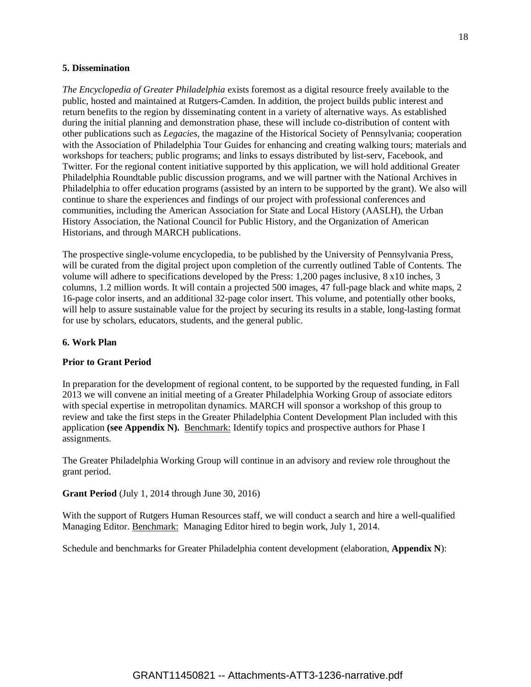#### **5. Dissemination**

*The Encyclopedia of Greater Philadelphia* exists foremost as a digital resource freely available to the public, hosted and maintained at Rutgers-Camden. In addition, the project builds public interest and return benefits to the region by disseminating content in a variety of alternative ways. As established during the initial planning and demonstration phase, these will include co-distribution of content with other publications such as *Legacies,* the magazine of the Historical Society of Pennsylvania; cooperation with the Association of Philadelphia Tour Guides for enhancing and creating walking tours; materials and workshops for teachers; public programs; and links to essays distributed by list-serv, Facebook, and Twitter. For the regional content initiative supported by this application, we will hold additional Greater Philadelphia Roundtable public discussion programs, and we will partner with the National Archives in Philadelphia to offer education programs (assisted by an intern to be supported by the grant). We also will continue to share the experiences and findings of our project with professional conferences and communities, including the American Association for State and Local History (AASLH), the Urban History Association, the National Council for Public History, and the Organization of American Historians, and through MARCH publications.

The prospective single-volume encyclopedia, to be published by the University of Pennsylvania Press, will be curated from the digital project upon completion of the currently outlined Table of Contents. The volume will adhere to specifications developed by the Press: 1,200 pages inclusive, 8 x10 inches, 3 columns, 1.2 million words. It will contain a projected 500 images, 47 full-page black and white maps, 2 16-page color inserts, and an additional 32-page color insert. This volume, and potentially other books, will help to assure sustainable value for the project by securing its results in a stable, long-lasting format for use by scholars, educators, students, and the general public.

#### **6. Work Plan**

#### **Prior to Grant Period**

In preparation for the development of regional content, to be supported by the requested funding, in Fall 2013 we will convene an initial meeting of a Greater Philadelphia Working Group of associate editors with special expertise in metropolitan dynamics. MARCH will sponsor a workshop of this group to review and take the first steps in the Greater Philadelphia Content Development Plan included with this application **(see Appendix N).** Benchmark: Identify topics and prospective authors for Phase I assignments.

The Greater Philadelphia Working Group will continue in an advisory and review role throughout the grant period.

## **Grant Period** (July 1, 2014 through June 30, 2016)

With the support of Rutgers Human Resources staff, we will conduct a search and hire a well-qualified Managing Editor. Benchmark: Managing Editor hired to begin work, July 1, 2014.

Schedule and benchmarks for Greater Philadelphia content development (elaboration, **Appendix N**):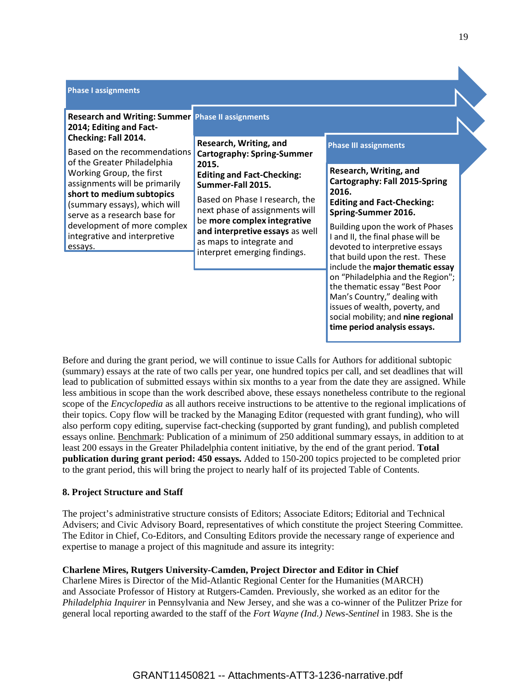| <b>Phase I assignments</b><br><b>Research and Writing: Summer Phase II assignments</b><br>2014; Editing and Fact-<br>Checking: Fall 2014.<br>Based on the recommendations<br>of the Greater Philadelphia<br>Working Group, the first<br>assignments will be primarily<br>short to medium subtopics<br>(summary essays), which will<br>serve as a research base for<br>development of more complex<br>integrative and interpretive | Research, Writing, and<br><b>Cartography: Spring-Summer</b><br>2015.<br><b>Editing and Fact-Checking:</b><br>Summer-Fall 2015.<br>Based on Phase I research, the<br>next phase of assignments will<br>be more complex integrative<br>and interpretive essays as well<br>as maps to integrate and | <b>Phase III assignments</b><br>Research, Writing, and<br><b>Cartography: Fall 2015-Spring</b><br>2016.<br><b>Editing and Fact-Checking:</b><br>Spring-Summer 2016.<br>Building upon the work of Phases<br>I and II, the final phase will be                                                                        |
|-----------------------------------------------------------------------------------------------------------------------------------------------------------------------------------------------------------------------------------------------------------------------------------------------------------------------------------------------------------------------------------------------------------------------------------|--------------------------------------------------------------------------------------------------------------------------------------------------------------------------------------------------------------------------------------------------------------------------------------------------|---------------------------------------------------------------------------------------------------------------------------------------------------------------------------------------------------------------------------------------------------------------------------------------------------------------------|
| essays.                                                                                                                                                                                                                                                                                                                                                                                                                           | interpret emerging findings.                                                                                                                                                                                                                                                                     | devoted to interpretive essays<br>that build upon the rest. These<br>include the major thematic essay<br>on "Philadelphia and the Region";<br>the thematic essay "Best Poor<br>Man's Country," dealing with<br>issues of wealth, poverty, and<br>social mobility; and nine regional<br>time period analysis essays. |

Before and during the grant period, we will continue to issue Calls for Authors for additional subtopic (summary) essays at the rate of two calls per year, one hundred topics per call, and set deadlines that will lead to publication of submitted essays within six months to a year from the date they are assigned. While less ambitious in scope than the work described above, these essays nonetheless contribute to the regional scope of the *Encyclopedia* as all authors receive instructions to be attentive to the regional implications of their topics. Copy flow will be tracked by the Managing Editor (requested with grant funding), who will also perform copy editing, supervise fact-checking (supported by grant funding), and publish completed essays online. Benchmark: Publication of a minimum of 250 additional summary essays, in addition to at least 200 essays in the Greater Philadelphia content initiative, by the end of the grant period. **Total publication during grant period: 450 essays.** Added to 150-200 topics projected to be completed prior to the grant period, this will bring the project to nearly half of its projected Table of Contents.

## **8. Project Structure and Staff**

The project's administrative structure consists of Editors; Associate Editors; Editorial and Technical Advisers; and Civic Advisory Board, representatives of which constitute the project Steering Committee. The Editor in Chief, Co-Editors, and Consulting Editors provide the necessary range of experience and expertise to manage a project of this magnitude and assure its integrity:

# **Charlene Mires, Rutgers University-Camden, Project Director and Editor in Chief**

Charlene Mires is Director of the Mid-Atlantic Regional Center for the Humanities (MARCH) and Associate Professor of History at Rutgers-Camden. Previously, she worked as an editor for the *Philadelphia Inquirer* in Pennsylvania and New Jersey, and she was a co-winner of the Pulitzer Prize for general local reporting awarded to the staff of the *Fort Wayne (Ind.) News-Sentinel* in 1983. She is the